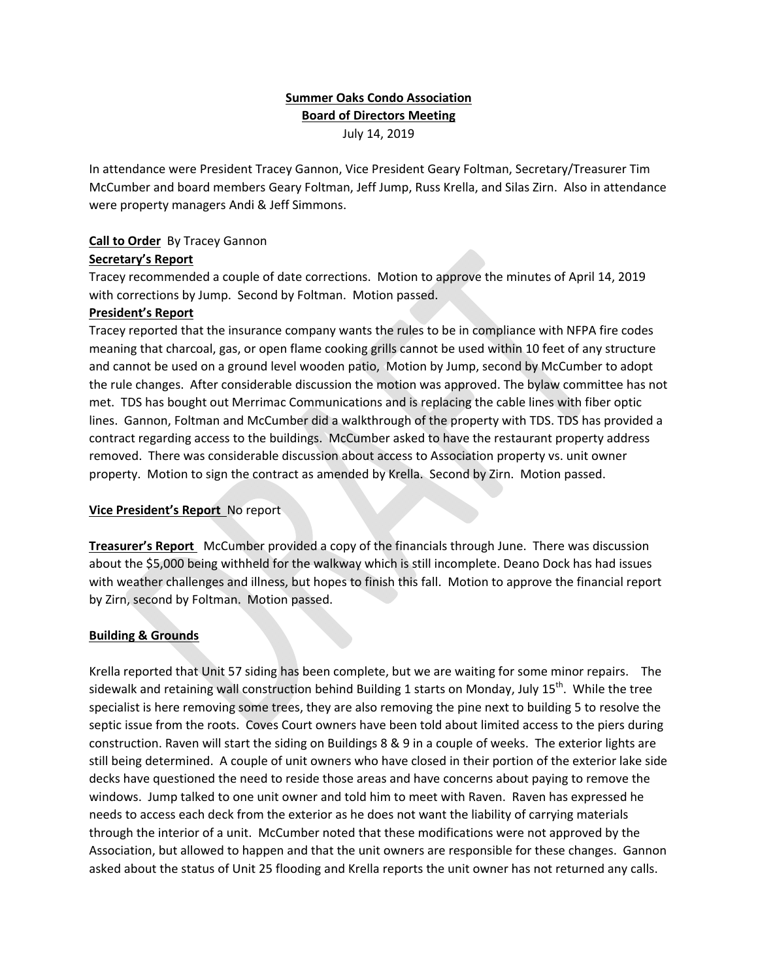# **Summer Oaks Condo Association Board of Directors Meeting** July 14, 2019

In attendance were President Tracey Gannon, Vice President Geary Foltman, Secretary/Treasurer Tim McCumber and board members Geary Foltman, Jeff Jump, Russ Krella, and Silas Zirn. Also in attendance were property managers Andi & Jeff Simmons.

## **Call to Order** By Tracey Gannon

### **Secretary's Report**

Tracey recommended a couple of date corrections. Motion to approve the minutes of April 14, 2019 with corrections by Jump. Second by Foltman. Motion passed.

### **President's Report**

Tracey reported that the insurance company wants the rules to be in compliance with NFPA fire codes meaning that charcoal, gas, or open flame cooking grills cannot be used within 10 feet of any structure and cannot be used on a ground level wooden patio, Motion by Jump, second by McCumber to adopt the rule changes. After considerable discussion the motion was approved. The bylaw committee has not met. TDS has bought out Merrimac Communications and is replacing the cable lines with fiber optic lines. Gannon, Foltman and McCumber did a walkthrough of the property with TDS. TDS has provided a contract regarding access to the buildings. McCumber asked to have the restaurant property address removed. There was considerable discussion about access to Association property vs. unit owner property. Motion to sign the contract as amended by Krella. Second by Zirn. Motion passed.

# **Vice President's Report** No report

**Treasurer's Report** McCumber provided a copy of the financials through June. There was discussion about the \$5,000 being withheld for the walkway which is still incomplete. Deano Dock has had issues with weather challenges and illness, but hopes to finish this fall. Motion to approve the financial report by Zirn, second by Foltman. Motion passed.

# **Building & Grounds**

Krella reported that Unit 57 siding has been complete, but we are waiting for some minor repairs. The sidewalk and retaining wall construction behind Building 1 starts on Monday, July 15<sup>th</sup>. While the tree specialist is here removing some trees, they are also removing the pine next to building 5 to resolve the septic issue from the roots. Coves Court owners have been told about limited access to the piers during construction. Raven will start the siding on Buildings 8 & 9 in a couple of weeks. The exterior lights are still being determined. A couple of unit owners who have closed in their portion of the exterior lake side decks have questioned the need to reside those areas and have concerns about paying to remove the windows. Jump talked to one unit owner and told him to meet with Raven. Raven has expressed he needs to access each deck from the exterior as he does not want the liability of carrying materials through the interior of a unit. McCumber noted that these modifications were not approved by the Association, but allowed to happen and that the unit owners are responsible for these changes. Gannon asked about the status of Unit 25 flooding and Krella reports the unit owner has not returned any calls.